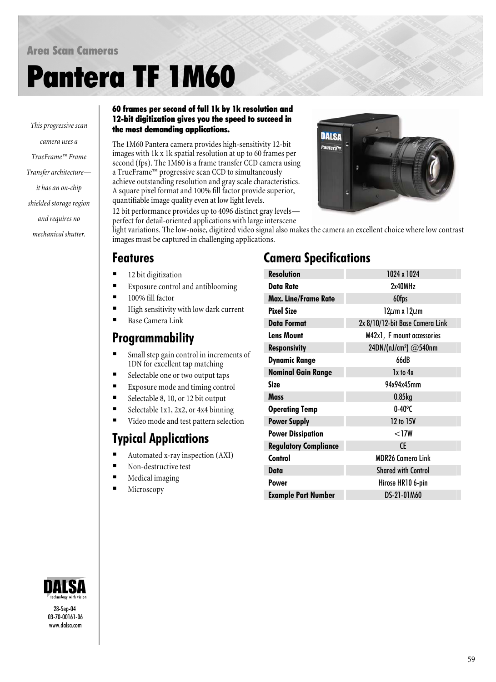#### Area Scan Cameras

# Pantera TF 1M60

*camera uses a TrueFrame™ Frame Transfer architecture it has an on-chip shielded storage region and requires no mechanical shutter.*

#### 60 frames per second of full 1k by 1k resolution and 12-bit digitization gives you the speed to succeed in the most demanding applications. *This progressive scan*

The 1M60 Pantera camera provides high-sensitivity 12-bit images with 1k x 1k spatial resolution at up to 60 frames per second (fps). The 1M60 is a frame transfer CCD camera using a TrueFrame™ progressive scan CCD to simultaneously achieve outstanding resolution and gray scale characteristics. A square pixel format and 100% fill factor provide superior, quantifiable image quality even at low light levels.

12 bit performance provides up to 4096 distinct gray levels perfect for detail-oriented applications with large interscene

light variations. The low-noise, digitized video signal also makes the camera an excellent choice where low contrast images must be captured in challenging applications.

### Features

- 12 bit digitization
- Exposure control and antiblooming
- 100% fill factor
- High sensitivity with low dark current
- Base Camera Link

#### Programmability

- Small step gain control in increments of 1DN for excellent tap matching
- Selectable one or two output taps
- Exposure mode and timing control
- Selectable 8, 10, or 12 bit output
- Selectable 1x1, 2x2, or 4x4 binning
- Video mode and test pattern selection

# Typical Applications

- Automated x-ray inspection (AXI)
- Non-destructive test
- Medical imaging
- Microscopy

## Camera Specifications

| <b>Resolution</b>            | 1024 x 1024                       |
|------------------------------|-----------------------------------|
| Data Rate                    | 2x40MHz                           |
| <b>Max. Line/Frame Rate</b>  | 60fps                             |
| <b>Pixel Size</b>            | $12 \mu m$ x $12 \mu m$           |
| <b>Data Format</b>           | 2x 8/10/12-bit Base Camera Link   |
| <b>Lens Mount</b>            | M42x1, F mount accessories        |
| <b>Responsivity</b>          | 24DN/(nJ/cm <sup>2</sup> ) @540nm |
| <b>Dynamic Range</b>         | 66dB                              |
| <b>Nominal Gain Range</b>    | 1x to 4x                          |
| Size                         | 94x94x45mm                        |
| Mass                         | $0.85$ <sub>kg</sub>              |
| <b>Operating Temp</b>        | $0 - 40^{\circ}$ C                |
| <b>Power Supply</b>          | 12 to 15V                         |
| <b>Power Dissipation</b>     | $<$ 17W                           |
| <b>Regulatory Compliance</b> | <b>CE</b>                         |
| Control                      | <b>MDR26 Camera Link</b>          |
| Data                         | <b>Shared with Control</b>        |
| <b>Power</b>                 | Hirose HR10 6-pin                 |
| <b>Example Part Number</b>   | DS-21-01M60                       |



28-Sep-04 03-70-00161-06 [www.dalsa.com](http://www.dalsa.com/)